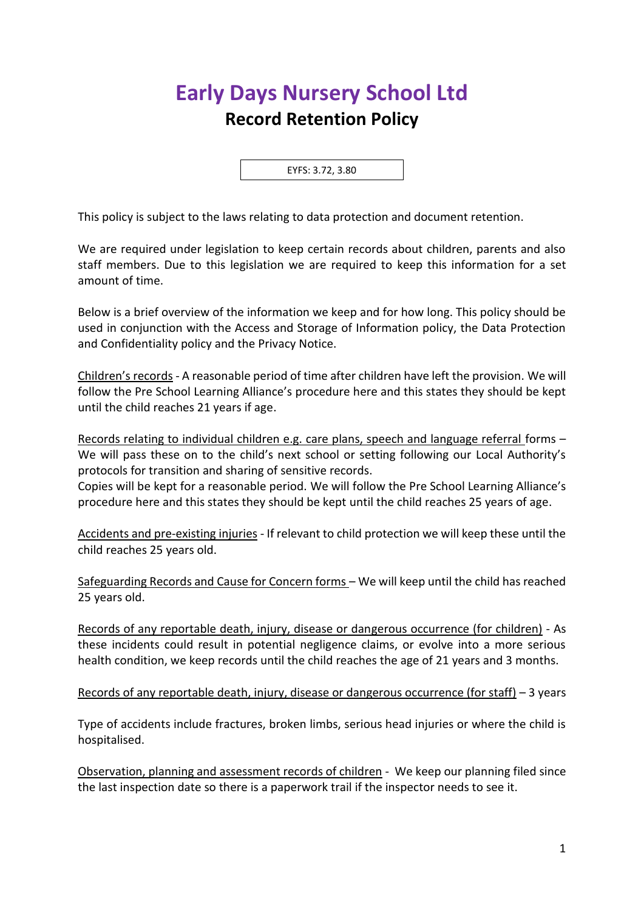## **Early Days Nursery School Ltd Record Retention Policy**

EYFS: 3.72, 3.80

This policy is subject to the laws relating to data protection and document retention.

We are required under legislation to keep certain records about children, parents and also staff members. Due to this legislation we are required to keep this information for a set amount of time.

Below is a brief overview of the information we keep and for how long. This policy should be used in conjunction with the Access and Storage of Information policy, the Data Protection and Confidentiality policy and the Privacy Notice.

Children's records - A reasonable period of time after children have left the provision. We will follow the Pre School Learning Alliance's procedure here and this states they should be kept until the child reaches 21 years if age.

Records relating to individual children e.g. care plans, speech and language referral forms – We will pass these on to the child's next school or setting following our Local Authority's protocols for transition and sharing of sensitive records.

Copies will be kept for a reasonable period. We will follow the Pre School Learning Alliance's procedure here and this states they should be kept until the child reaches 25 years of age.

Accidents and pre-existing injuries - If relevant to child protection we will keep these until the child reaches 25 years old.

Safeguarding Records and Cause for Concern forms – We will keep until the child has reached 25 years old.

Records of any reportable death, injury, disease or dangerous occurrence (for children) - As these incidents could result in potential negligence claims, or evolve into a more serious health condition, we keep records until the child reaches the age of 21 years and 3 months.

Records of any reportable death, injury, disease or dangerous occurrence (for staff) – 3 years

Type of accidents include fractures, broken limbs, serious head injuries or where the child is hospitalised.

Observation, planning and assessment records of children - We keep our planning filed since the last inspection date so there is a paperwork trail if the inspector needs to see it.